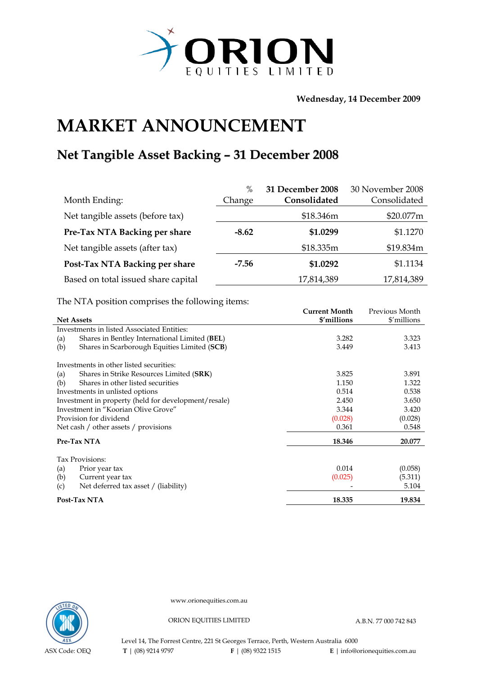

**Wednesday, 14 December 2009** 

## **MARKET ANNOUNCEMENT**

## **Net Tangible Asset Backing – 31 December 2008**

|                                     | $\%$    | 31 December 2008 | 30 November 2008 |
|-------------------------------------|---------|------------------|------------------|
| Month Ending:                       | Change  | Consolidated     | Consolidated     |
| Net tangible assets (before tax)    |         | \$18.346m        | \$20.077m        |
| Pre-Tax NTA Backing per share       | $-8.62$ | \$1.0299         | \$1.1270         |
| Net tangible assets (after tax)     |         | \$18.335m        | \$19.834m        |
| Post-Tax NTA Backing per share      | $-7.56$ | \$1.0292         | \$1.1134         |
| Based on total issued share capital |         | 17,814,389       | 17,814,389       |

The NTA position comprises the following items:

|                                                      |                                               | <b>Current Month</b> | Previous Month |
|------------------------------------------------------|-----------------------------------------------|----------------------|----------------|
| <b>Net Assets</b>                                    |                                               | \$'millions          | \$'millions    |
|                                                      | Investments in listed Associated Entities:    |                      |                |
| (a)                                                  | Shares in Bentley International Limited (BEL) | 3.282                | 3.323          |
| (b)                                                  | Shares in Scarborough Equities Limited (SCB)  | 3.449                | 3.413          |
|                                                      | Investments in other listed securities:       |                      |                |
| (a)                                                  | Shares in Strike Resources Limited (SRK)      | 3.825                | 3.891          |
| (b)                                                  | Shares in other listed securities             | 1.150                | 1.322          |
| Investments in unlisted options                      |                                               | 0.514                | 0.538          |
| Investment in property (held for development/resale) |                                               | 2.450                | 3.650          |
| Investment in "Koorian Olive Grove"                  |                                               | 3.344                | 3.420          |
|                                                      | Provision for dividend                        | (0.028)              | (0.028)        |
|                                                      | Net cash / other assets / provisions          | 0.361                | 0.548          |
|                                                      | Pre-Tax NTA                                   | 18.346               | 20.077         |
|                                                      | Tax Provisions:                               |                      |                |
| (a)                                                  | Prior year tax                                | 0.014                | (0.058)        |
| (b)                                                  | Current year tax                              | (0.025)              | (5.311)        |
| (c)                                                  | Net deferred tax asset / (liability)          |                      | 5.104          |
|                                                      | Post-Tax NTA                                  | 18.335               | 19.834         |



www.orionequities.com.au

ORION EQUITIES LIMITED A.B.N. 77 000 742 843

Level 14, The Forrest Centre, 221 St Georges Terrace, Perth, Western Australia 6000  **T** | (08) 9214 9797 **F** | (08) 9322 1515 **E** | info@orionequities.com.au